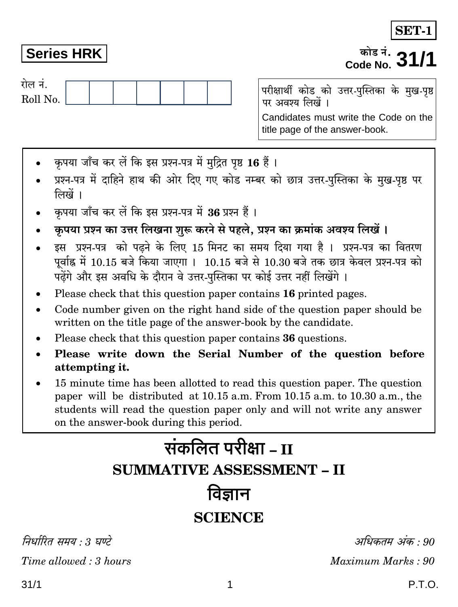निर्धारित ममय : १ घण्टे

 $Time allowed: 3 hours$ 

attempting it. 15 minute time has been allotted to read this question paper. The question

paper will be distributed at 10.15 a.m. From 10.15 a.m. to 10.30 a.m., the students will read the question paper only and will not write any answer on the answer-book during this period.

## रोल नं.

**Series HRK** 

Roll No.

परीक्षार्थी कोड को उत्तर-पुस्तिका के मुख-पृष्ठ पर अवश्य लिखें । Candidates must write the Code on the title page of the answer-book.

- कृपया जाँच कर लें कि इस प्रश्न-पत्र में मुद्रित पृष्ठ 16 हैं।
- प्रश्न-पत्र में दाहिने हाथ की ओर दिए गए कोड नम्बर को छात्र उत्तर-पुस्तिका के मुख-पृष्ठ पर लिखें ।
- कृपया जाँच कर लें कि इस प्रश्न-पत्र में 36 प्रश्न हैं ।
- कृपया प्रश्न का उत्तर लिखना शुरू करने से पहले, प्रश्न का क्रमांक अवश्य लिखें।
- इस प्रश्न-पत्र को पढ़ने के लिए 15 मिनट का समय दिया गया है। प्रश्न-पत्र का वितरण पूर्वाह्न में 10.15 बजे किया जाएगा । 10.15 बजे से 10.30 बजे तक छात्र केवल प्रश्न-पत्र को पढेंगे और इस अवधि के दौरान वे उत्तर-पुस्तिका पर कोई उत्तर नहीं लिखेंगे।
- Please check that this question paper contains 16 printed pages.
- Code number given on the right hand side of the question paper should be written on the title page of the answer-book by the candidate.
- Please check that this question paper contains 36 questions.
- Please write down the Serial Number of the question before

# संकलित परीक्षा <sub>– II</sub> **SUMMATIVE ASSESSMENT - II** विज्ञान

### **SCIENCE**

.अधिकतम् अक**ः** 90

Maximum Marks: 90

## **SET-1**

कोड नं. . Code No.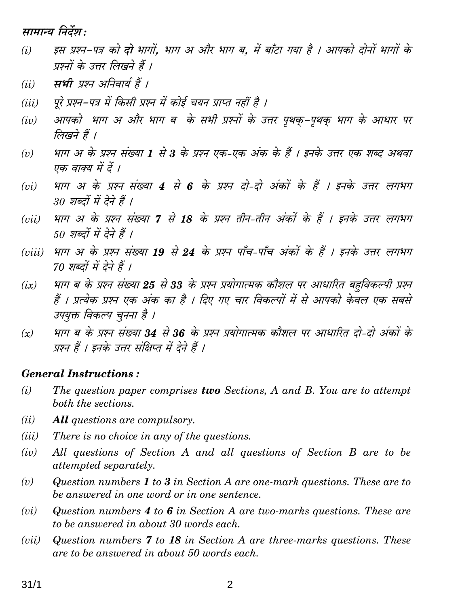मामान्य निर्देश :

- इस प्रश्न-पत्र को **दो** भागों, भाग अ और भाग ब, में बाँटा गया है । आपको दोनों भागों के  $(i)$ प्रश्नों के उत्तर लिखने हैं ।
- सभी प्रश्न अनिवार्य हैं ।  $(ii)$
- पूरे प्रश्न–पत्र में किसी प्रश्न में कोई चयन प्राप्त नहीं है ।  $(iii)$
- आपको भाग अ और भाग ब के सभी प्रश्नों के उत्तर पृथक–पृथक भाग के आधार पर  $(iv)$ लिखने हैं ।
- भाग अ के प्रश्न संख्या 1 से 3 के प्रश्न एक-एक अंक के हैं । इनके उत्तर एक शब्द अथवा  $(v)$ एक वाक्य में दें ।
- भाग अ के प्रश्न संख्या 4 से 6 के प्रश्न दो-दो अंकों के हैं । इनके उत्तर लगभग  $(vi)$ 30 शब्दों में देने हैं 1
- भाग अ के प्रश्न संख्या 7 से 18 के प्रश्न तीन-तीन अंकों के हैं । इनके उत्तर लगभग  $(vii)$ 50 शब्दों में देने हैं ।
- भाग अ के प्रश्न संख्या 19 से 24 के प्रश्न पाँच-पाँच अंकों के हैं । इनके उत्तर लगभग  $(viii)$ 70 शब्दों में देने हैं ।
- भाग ब के प्रश्न संख्या 25 से 33 के प्रश्न प्रयोगात्मक कौशल पर आधारित बहविकल्पी प्रश्न  $(ix)$ हैं । प्रत्येक प्रश्न एक अंक का है । दिए गए चार विकल्पों में से आपको केवल एक सबसे उपयुक्त विकल्प चुनना है ।
- भाग ब के प्रश्न संख्या 34 से 36 के प्रश्न प्रयोगात्मक कौशल पर आधारित दो-दो अंकों के  $(x)$ प्रश्न हैं । इनके उत्तर संक्षिप्त में देने हैं ।

#### **General Instructions:**

- The question paper comprises two Sections, A and B. You are to attempt  $(i)$ both the sections.
- $(ii)$ **All** questions are compulsory.
- There is no choice in any of the questions.  $(iii)$
- All questions of Section A and all questions of Section B are to be  $(iv)$ attempted separately.
- Question numbers  $\bm{1}$  to  $\bm{3}$  in Section A are one-mark questions. These are to  $(v)$ be answered in one word or in one sentence.
- Question numbers  $4$  to  $6$  in Section A are two-marks questions. These are  $(vi)$ to be answered in about 30 words each.
- Question numbers 7 to 18 in Section A are three-marks questions. These  $(vii)$ are to be answered in about 50 words each.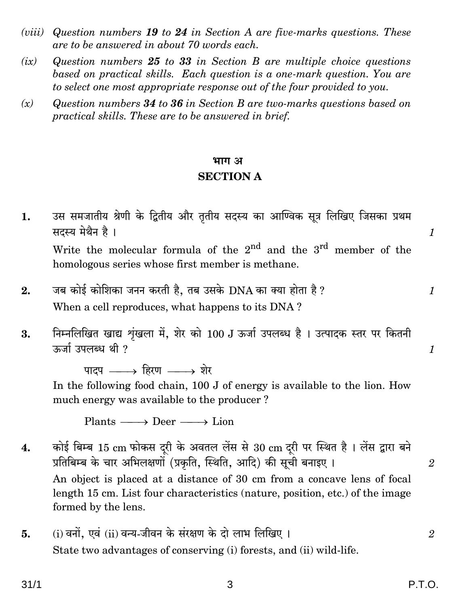- (*viii*) Question numbers 19 to 24 in Section A are five-marks questions. These are to be answered in about 70 words each.
- $(ix)$ Question numbers 25 to 33 in Section B are multiple choice questions based on practical skills. Each question is a one-mark question. You are to select one most appropriate response out of the four provided to you.
- $(x)$ Question numbers 34 to 36 in Section B are two-marks questions based on practical skills. These are to be answered in brief.

#### भाग अ

#### **SECTION A**

- उस समजातीय श्रेणी के द्वितीय और तृतीय सदस्य का आण्विक सूत्र लिखिए जिसका प्रथम  $1.$ सदस्य मेथैन है।  $\mathcal I$ Write the molecular formula of the  $2^{nd}$  and the  $3^{rd}$  member of the homologous series whose first member is methane. जब कोई कोशिका जनन करती है, तब उसके DNA का क्या होता है ?  $2.$  $\mathcal{I}$ When a cell reproduces, what happens to its DNA?
- निम्नलिखित खाद्य शृंखला में, शेर को 100 J ऊर्जा उपलब्ध है । उत्पादक स्तर पर कितनी 3. ऊर्जा उपलब्ध थी ?

पाटप $\longrightarrow$  हिरण  $\longrightarrow$  शेर In the following food chain, 100 J of energy is available to the lion. How much energy was available to the producer?

Plants  $\longrightarrow$  Deer  $\longrightarrow$  Lion

- कोई बिम्ब 15 cm फोकस दूरी के अवतल लेंस से 30 cm दूरी पर स्थित है। लेंस द्वारा बने 4. प्रतिबिम्ब के चार अभिलक्षणों (प्रकृति, स्थिति, आदि) की सूची बनाइए । An object is placed at a distance of 30 cm from a concave lens of focal length 15 cm. List four characteristics (nature, position, etc.) of the image formed by the lens.
- (i) वनों. एवं (ii) वन्य-जीवन के संरक्षण के दो लाभ लिखिए । 5. State two advantages of conserving (i) forests, and (ii) wild-life.

 $\mathbf{1}$ 

 $\mathfrak{D}$ 

 $\overline{2}$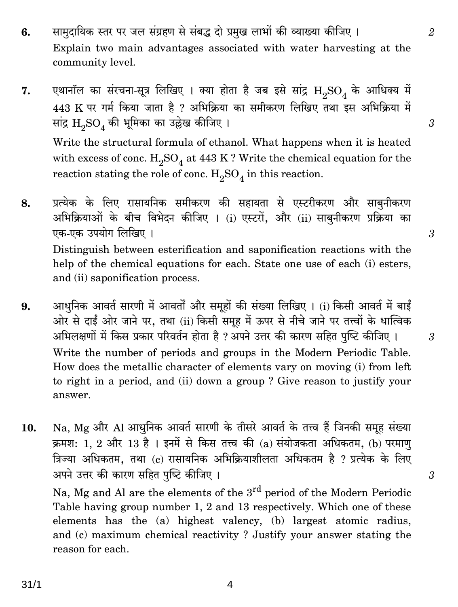- सामुदायिक स्तर पर जल संग्रहण से संबद्ध दो प्रमुख लाभों की व्याख्या कीजिए। 6. Explain two main advantages associated with water harvesting at the community level.
- एथानॉल का संरचना-सूत्र लिखिए । क्या होता है जब इसे सांद्र  $\rm{H}_{2}SO_{4}$  के आधिक्य में 7. 443 K पर गर्म किया जाता है ? अभिक्रिया का समीकरण लिखिए तथा इस अभिक्रिया में सांद्र  $\mathrm{H}_{o}\mathrm{SO}_{4}$  की भूमिका का उल्लेख कीजिए ।

Write the structural formula of ethanol. What happens when it is heated with excess of conc.  $H_2SO_4$  at 443 K? Write the chemical equation for the reaction stating the role of conc.  $\rm H_2SO_4$  in this reaction.

- प्रत्येक के लिए रासायनिक समीकरण की सहायता से एस्टरीकरण और साबनीकरण 8. अभिक्रियाओं के बीच विभेदन कीजिए । (i) एस्टरों, और (ii) साबनीकरण प्रक्रिया का एक-एक उपयोग लिखिए । Distinguish between esterification and saponification reactions with the help of the chemical equations for each. State one use of each (i) esters, and (ii) saponification process.
- आधुनिक आवर्त सारणी में आवर्तों और समूहों की संख्या लिखिए । (i) किसी आवर्त में बाईं 9. ओर से दाईं ओर जाने पर, तथा (ii) किसी समूह में ऊपर से नीचे जाने पर तत्त्वों के धात्विक अभिलक्षणों में किस प्रकार परिवर्तन होता है ? अपने उत्तर की कारण सहित पुष्टि कीजिए । Write the number of periods and groups in the Modern Periodic Table. How does the metallic character of elements vary on moving (i) from left to right in a period, and (ii) down a group ? Give reason to justify your answer.
- Na, Mg और Al आधुनिक आवर्त सारणी के तीसरे आवर्त के तत्त्व हैं जिनकी समूह संख्या 10. क्रमश: 1, 2 और 13 है। इनमें से किस तत्त्व की (a) संयोजकता अधिकतम, (b) परमाण त्रिज्या अधिकतम, तथा (c) रासायनिक अभिक्रियाशीलता अधिकतम है ? प्रत्येक के लिए अपने उत्तर की कारण सहित पुष्टि कीजिए ।

Na, Mg and Al are the elements of the 3<sup>rd</sup> period of the Modern Periodic Table having group number 1, 2 and 13 respectively. Which one of these elements has the (a) highest valency, (b) largest atomic radius, and (c) maximum chemical reactivity? Justify your answer stating the reason for each.

 $\mathcal{S}$ 

 $\mathcal{S}$ 

3

 $\mathfrak{D}$ 

3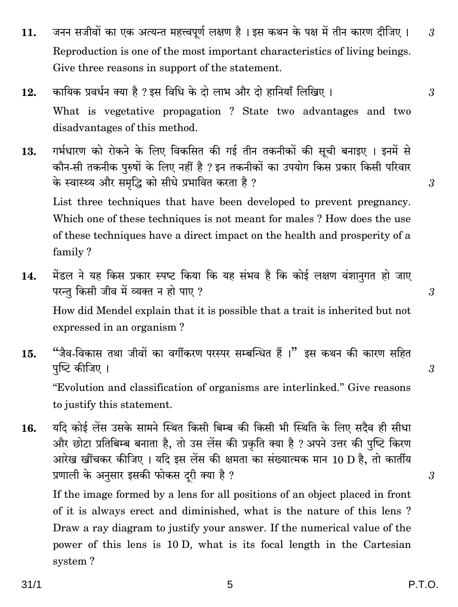- जनन सजीवों का एक अत्यन्त महत्त्वपर्ण लक्षण है । इस कथन के पक्ष में तीन कारण दीजिए ।  $11.$ Reproduction is one of the most important characteristics of living beings. Give three reasons in support of the statement.
- कायिक प्रवर्धन क्या है ? इस विधि के दो लाभ और दो हानियाँ लिखिए । 12. What is vegetative propagation? State two advantages and two disadvantages of this method.
- गर्भधारण को रोकने के लिए विकसित की गई तीन तकनीकों की सूची बनाइए । इनमें से 13. कौन-सी तकनीक पुरुषों के लिए नहीं है ? इन तकनीकों का उपयोग किस प्रकार किसी परिवार के स्वास्थ्य और समृद्धि को सीधे प्रभावित करता है ? List three techniques that have been developed to prevent pregnancy.

Which one of these techniques is not meant for males? How does the use of these techniques have a direct impact on the health and prosperity of a family?

- मेंडल ने यह किस प्रकार स्पष्ट किया कि यह संभव है कि कोई लक्षण वंशानगत हो जाए 14. परन्त किसी जीव में व्यक्त न हो पाए ? How did Mendel explain that it is possible that a trait is inherited but not expressed in an organism?
- "जैव-विकास तथा जीवों का वर्गीकरण परस्पर सम्बन्धित हैं।" इस कथन की कारण सहित  $15.$ पुष्टि कीजिए । "Evolution and classification of organisms are interlinked." Give reasons to justify this statement.
- यदि कोई लेंस उसके सामने स्थित किसी बिम्ब की किसी भी स्थिति के लिए सदैव ही सीधा 16. और छोटा प्रतिबिम्ब बनाता है, तो उस लेंस की प्रकृति क्या है ? अपने उत्तर की पुष्टि किरण आरेख खींचकर कीजिए । यदि इस लेंस की क्षमता का संख्यात्मक मान 10 D है, तो कार्तीय प्रणाली के अनुसार इसकी फोकस दूरी क्या है ?

If the image formed by a lens for all positions of an object placed in front of it is always erect and diminished, what is the nature of this lens? Draw a ray diagram to justify your answer. If the numerical value of the power of this lens is 10 D, what is its focal length in the Cartesian system?

 $31/1$ 

5

3

3

 $\boldsymbol{\beta}$ 

 $\mathcal{S}$ 

3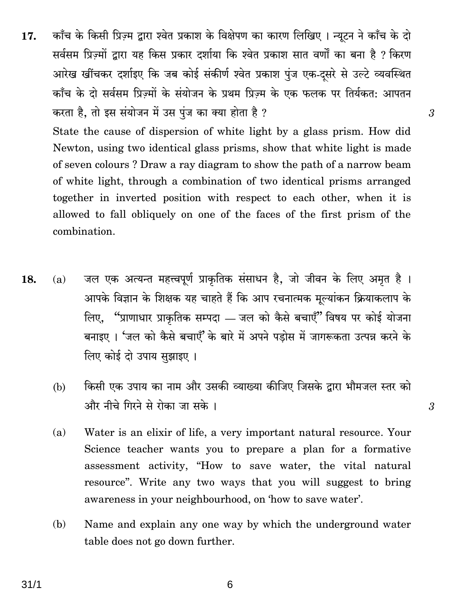काँच के किसी प्रिज़्म द्वारा श्वेत प्रकाश के विक्षेपण का कारण लिखिए । न्यूटन ने काँच के दो 17. सर्वसम प्रिज्मों द्वारा यह किस प्रकार दर्शाया कि श्वेत प्रकाश सात वर्णों का बना है ? किरण आरेख खींचकर दर्शाइए कि जब कोई संकीर्ण श्वेत प्रकाश पुंज एक-दसरे से उल्टे व्यवस्थित काँच के दो सर्वसम प्रिज़्मों के संयोजन के प्रथम प्रिज़्म के एक फलक पर तिर्यकत: आपतन करता है, तो इस संयोजन में उस पुंज का क्या होता है ?

State the cause of dispersion of white light by a glass prism. How did Newton, using two identical glass prisms, show that white light is made of seven colours? Draw a ray diagram to show the path of a narrow beam of white light, through a combination of two identical prisms arranged together in inverted position with respect to each other, when it is allowed to fall obliquely on one of the faces of the first prism of the combination.

3

3

- जल एक अत्यन्त महत्त्वपूर्ण प्राकृतिक संसाधन है, जो जीवन के लिए अमृत है । 18.  $(a)$ आपके विज्ञान के शिक्षक यह चाहते हैं कि आप रचनात्मक मूल्यांकन क्रियाकलाप के लिए, "प्राणाधार प्राकृतिक सम्पदा — जल को कैसे बचाएँ" विषय पर कोई योजना बनाइए । 'जल को कैसे बचाएँ' के बारे में अपने पडोस में जागरूकता उत्पन्न करने के लिए कोई दो उपाय सुझाइए ।
	- किसी एक उपाय का नाम और उसकी व्याख्या कीजिए जिसके द्वारा भौमजल स्तर को (b) और नीचे गिरने से रोका जा सके ।
	- Water is an elixir of life, a very important natural resource. Your  $(a)$ Science teacher wants you to prepare a plan for a formative assessment activity, "How to save water, the vital natural resource". Write any two ways that you will suggest to bring awareness in your neighbourhood, on 'how to save water'.
	- Name and explain any one way by which the underground water (b) table does not go down further.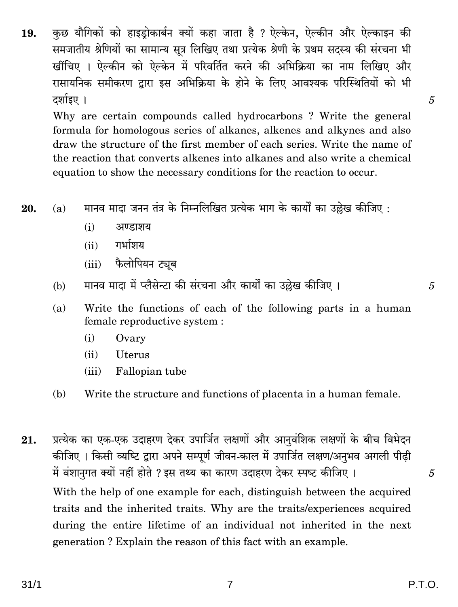कुछ यौगिकों को हाइड़ोकार्बन क्यों कहा जाता है ? ऐल्केन, ऐल्कीन और ऐल्काइन की 19. समजातीय श्रेणियों का सामान्य सूत्र लिखिए तथा प्रत्येक श्रेणी के प्रथम सदस्य की संरचना भी खींचिए । ऐल्कीन को ऐल्केन में परिवर्तित करने की अभिक्रिया का नाम लिखिए और रासायनिक समीकरण द्वारा इस अभिक्रिया के होने के लिए आवश्यक परिस्थितियों को भी दर्शाइए ।

Why are certain compounds called hydrocarbons? Write the general formula for homologous series of alkanes, alkenes and alkynes and also draw the structure of the first member of each series. Write the name of the reaction that converts alkenes into alkanes and also write a chemical equation to show the necessary conditions for the reaction to occur.

मानव माटा जनन तंत्र के निम्नलिखित प्रत्येक भाग के कार्यों का उछेख कीजिए : 20.  $(a)$ 

- $(i)$ अण्डाशय
- गर्भाञ्चय  $(ii)$
- फैलोपियन ट्यूब  $(iii)$
- मानव मादा में प्लैसेन्टा की संरचना और कार्यों का उल्लेख कीजिए।  $(b)$
- Write the functions of each of the following parts in a human  $(a)$ female reproductive system :
	- Ovary  $(i)$
	- $(ii)$ **Uterus**
	- Fallopian tube  $(iii)$
- $(b)$ Write the structure and functions of placenta in a human female.
- प्रत्येक का एक-एक उदाहरण देकर उपार्जित लक्षणों और आनुवंशिक लक्षणों के बीच विभेदन 21. कीजिए । किसी व्यष्टि द्वारा अपने सम्पूर्ण जीवन-काल में उपार्जित लक्षण/अनुभव अगली पीढ़ी में वंशानुगत क्यों नहीं होते ? इस तथ्य का कारण उदाहरण देकर स्पष्ट कीजिए । With the help of one example for each, distinguish between the acquired traits and the inherited traits. Why are the traits/experiences acquired during the entire lifetime of an individual not inherited in the next generation? Explain the reason of this fact with an example.

5

5

 $\overline{5}$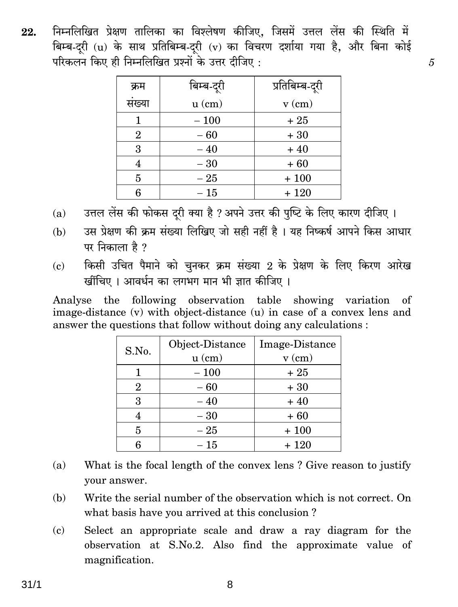निम्नलिखित प्रेक्षण तालिका का विश्लेषण कीजिए. जिसमें उत्तल लेंस की स्थिति में 22. बिम्ब-दरी (u) के साथ प्रतिबिम्ब-दरी (v) का विचरण दर्शाया गया है, और बिना कोई परिकलन किए ही निम्नलिखित प्रश्नों के उत्तर टीजिए :

 $\overline{5}$ 

| क्रम           | बिम्ब-दूरी | प्रतिबिम्ब-दूरी |
|----------------|------------|-----------------|
| संख्या         | $u$ (cm)   | $v$ (cm)        |
|                | $-100$     | $+25$           |
| $\overline{2}$ | $-60$      | $+30$           |
| 3              | $-40$      | $+40$           |
| 4              | $-30$      | $+60$           |
| 5              | $-25$      | $+100$          |
| 6              | $-15$      | $+120$          |

- उत्तल लेंस की फोकस दरी क्या है ? अपने उत्तर की पुष्टि के लिए कारण दीजिए ।  $(a)$
- उस प्रेक्षण की क्रम संख्या लिखिए जो सही नहीं है । यह निष्कर्ष आपने किस आधार  $(b)$ पर निकाला है ?
- किसी उचित पैमाने को चुनकर क्रम संख्या 2 के प्रेक्षण के लिए किरण आरेख  $\epsilon$ ) खींचिए । आवर्धन का लगभग मान भी ज्ञात कीजिए ।

Analyse the following observation table showing variation of image-distance (v) with object-distance (u) in case of a convex lens and answer the questions that follow without doing any calculations :

| S.No.          | Object-Distance | Image-Distance |
|----------------|-----------------|----------------|
|                | $u$ (cm)        | $v$ (cm)       |
|                | $-100$          | $+25$          |
| $\overline{2}$ | $-60$           | $+30$          |
| 3              | $-40$           | $+40$          |
| 4              | $-30$           | $+60$          |
| 5              | $-25$           | $+100$         |
| հ              | $-~15\,$        | $+120$         |

- What is the focal length of the convex lens? Give reason to justify  $(a)$ vour answer.
- Write the serial number of the observation which is not correct. On (b) what basis have you arrived at this conclusion?
- Select an appropriate scale and draw a ray diagram for the  $(c)$ observation at S.No.2. Also find the approximate value of magnification.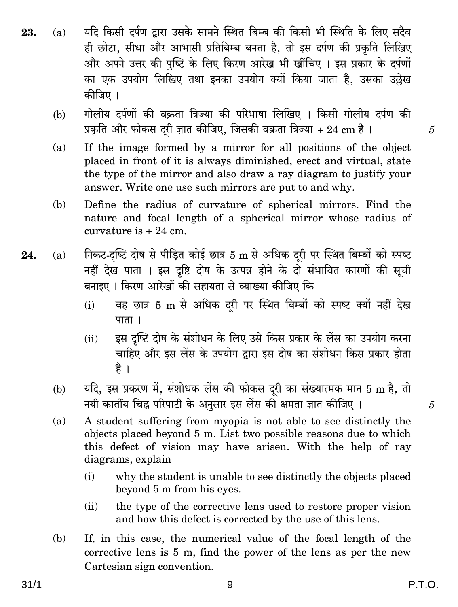- यदि किसी दर्पण द्वारा उसके सामने स्थित बिम्ब की किसी भी स्थिति के लिए सदैव 23.  $(a)$ ही छोटा. सीधा और आभासी प्रतिबिम्ब बनता है. तो इस दर्पण की प्रकति लिखिए और अपने उत्तर की पृष्टि के लिए किरण आरेख भी खींचिए । इस प्रकार के दर्पणों का एक उपयोग लिखिए तथा इनका उपयोग क्यों किया जाता है. उसका उल्लेख कीजिए ।
	- गोलीय दर्पणों की वक्रता त्रिज्या की परिभाषा लिखिए । किसी गोलीय दर्पण की (b) प्रकृति और फोकस दूरी ज्ञात कीजिए, जिसकी वक्रता त्रिज्या + 24 cm है ।
	- If the image formed by a mirror for all positions of the object  $(a)$ placed in front of it is always diminished, erect and virtual, state the type of the mirror and also draw a ray diagram to justify your answer. Write one use such mirrors are put to and why.
	- Define the radius of curvature of spherical mirrors. Find the (b) nature and focal length of a spherical mirror whose radius of curvature is  $+24$  cm.
- निकट-दृष्टि दोष से पीड़ित कोई छात्र 5 m से अधिक दरी पर स्थित बिम्बों को स्पष्ट 24.  $(a)$ नहीं देख पाता । इस दृष्टि दोष के उत्पन्न होने के दो संभावित कारणों की सूची बनाइए । किरण आरेखों की सहायता से व्याख्या कीजिए कि
	- वह छात्र 5 m से अधिक दूरी पर स्थित बिम्बों को स्पष्ट क्यों नहीं देख  $(i)$  $\pi$
	- इस दृष्टि दोष के संशोधन के लिए उसे किस प्रकार के लेंस का उपयोग करना  $(ii)$ चाहिए और इस लेंस के उपयोग द्वारा इस दोष का संशोधन किस प्रकार होता है ।
	- यदि, इस प्रकरण में, संशोधक लेंस की फोकस दूरी का संख्यात्मक मान 5 m है, तो (b) नयी कार्तीय चिह्न परिपाटी के अनुसार इस लेंस की क्षमता ज्ञात कीजिए ।
	- A student suffering from myopia is not able to see distinctly the  $(a)$ objects placed beyond 5 m. List two possible reasons due to which this defect of vision may have arisen. With the help of ray diagrams, explain
		- $(i)$ why the student is unable to see distinctly the objects placed beyond 5 m from his eyes.
		- the type of the corrective lens used to restore proper vision  $(ii)$ and how this defect is corrected by the use of this lens.
	- (b) If, in this case, the numerical value of the focal length of the corrective lens is 5 m, find the power of the lens as per the new Cartesian sign convention.

P.T.O.

5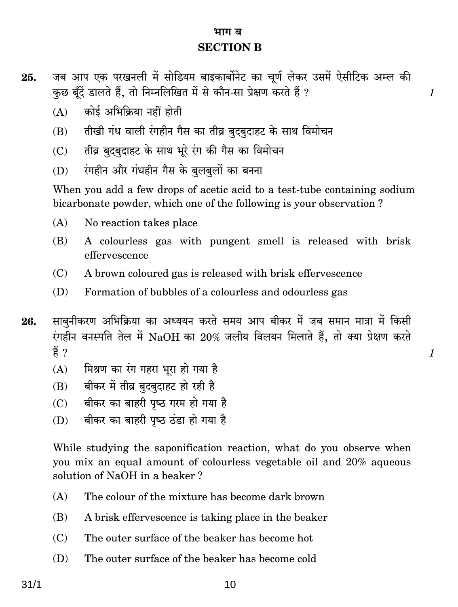#### भाग ब **SECTION B**

 $\mathcal I$ 

 $\mathbf{1}$ 

- जब आप एक परखनली में सोडियम बाइकार्बोनेट का चूर्ण लेकर उसमें ऐसीटिक अम्ल की 25. कुछ बुँदें डालते हैं, तो निम्नलिखित में से कौन-सा प्रेक्षण करते हैं ?
	- कोई अभिक्रिया नहीं होती  $(A)$
	- तीखी गंध वाली रंगहीन गैस का तीव्र बदबदाहट के साथ विमोचन  $(R)$
	- तीव्र बुदबुदाहट के साथ भूरे रंग की गैस का विमोचन  $(C)$
	- रंगहीन और गंधहीन गैस के बुलबुलों का बनना  $(D)$

When you add a few drops of acetic acid to a test-tube containing sodium bicarbonate powder, which one of the following is your observation?

- $(A)$ No reaction takes place
- A colourless gas with pungent smell is released with brisk (B) effervescence
- $(C)$ A brown coloured gas is released with brisk effervescence
- (D) Formation of bubbles of a colourless and odourless gas
- साबनीकरण अभिक्रिया का अध्ययन करते समय आप बीकर में जब समान मात्रा में किसी 26. रंगहीन वनस्पति तेल में NaOH का 20% जलीय विलयन मिलाते हैं, तो क्या प्रेक्षण करते ੜ੍ਹੇਂ ?
	- मिश्रण का रंग गहरा भूरा हो गया है  $(A)$
	- बीकर में तीव्र बृदबुदाहट हो रही है  $(B)$
	- बीकर का बाहरी पृष्ठ गरम हो गया है  $(C)$
	- बीकर का बाहरी पुष्ठ ठंडा हो गया है  $(D)$

While studying the saponification reaction, what do you observe when you mix an equal amount of colourless vegetable oil and 20% aqueous solution of NaOH in a beaker?

- $(A)$ The colour of the mixture has become dark brown
- A brisk effervescence is taking place in the beaker (B)
- The outer surface of the beaker has become hot  $(C)$
- The outer surface of the beaker has become cold (D)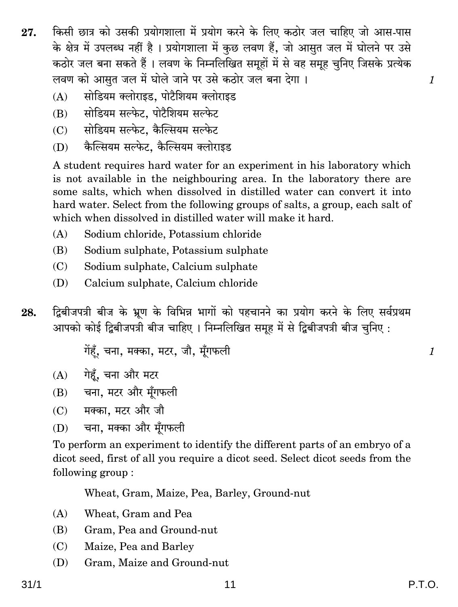- किसी छात्र को उसकी प्रयोगशाला में प्रयोग करने के लिए कठोर जल चाहिए जो आस-पास 27. के क्षेत्र में उपलब्ध नहीं है। प्रयोगशाला में कुछ लवण हैं. जो आसत जल में घोलने पर उसे कठोर जल बना सकते हैं। लवण के निम्नलिखित समहों में से वह समह चनिए जिसके प्रत्येक लवण को आसत जल में घोले जाने पर उसे कठोर जल बना देगा।
	- सोडियम क्लोराइड. पोटैशियम क्लोराइड  $(A)$
	- सोडियम सल्फेट, पोटैशियम सल्फेट  $(B)$
	- सोडियम सल्फेट. कैल्सियम सल्फेट  $(C)$
	- कैल्सियम सल्फेट, कैल्सियम क्लोराइड  $(D)$

A student requires hard water for an experiment in his laboratory which is not available in the neighbouring area. In the laboratory there are some salts, which when dissolved in distilled water can convert it into hard water. Select from the following groups of salts, a group, each salt of which when dissolved in distilled water will make it hard.

- $(A)$ Sodium chloride, Potassium chloride
- Sodium sulphate, Potassium sulphate (B)
- Sodium sulphate, Calcium sulphate  $(C)$
- (D) Calcium sulphate, Calcium chloride
- द्विबीजपत्री बीज के भ्रूण के विभिन्न भागों को पहचानने का प्रयोग करने के लिए सर्वप्रथम 28. आपको कोई द्विबीजपत्री बीज चाहिए । निम्नलिखित समूह में से द्विबीजपत्री बीज चुनिए :

गेंहूँ, चना, मक्का, मटर, जौ, मूँगफली

- (A) गेहूँ, चना और मटर
- (B) चना, मटर और मूँगफली
- (C) मक्का, मटर और जौ
- चना, मक्का और मँगफली  $(D)$

To perform an experiment to identify the different parts of an embryo of a dicot seed, first of all you require a dicot seed. Select dicot seeds from the following group:

Wheat, Gram, Maize, Pea, Barley, Ground-nut

- $(A)$ Wheat, Gram and Pea
- (B) Gram, Pea and Ground-nut
- Maize, Pea and Barley  $(C)$
- (D) Gram, Maize and Ground-nut

 $\mathcal{I}$ 

 $\mathcal{I}_{\mathcal{L}}$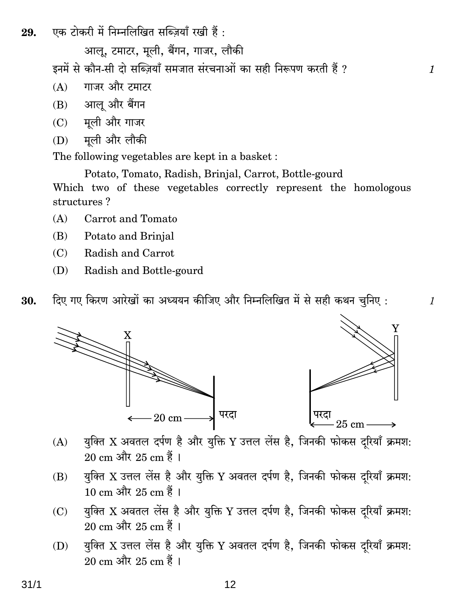एक टोकरी में निम्नलिखित सब्जियाँ रखी हैं : 29.

आल. टमाटर. मली. बैंगन. गाजर. लौकी

इनमें से कौन-सी दो सब्ज़ियाँ समजात संरचनाओं का सही निरूपण करती हैं ?

- गाजर और टमाटर  $(A)$
- (B) आलू और बैंगन
- मूली और गाजर  $(C)$
- मूली और लौकी (D)

The following vegetables are kept in a basket:

Potato, Tomato, Radish, Brinjal, Carrot, Bottle-gourd Which two of these vegetables correctly represent the homologous structures?

- $(A)$ Carrot and Tomato
- (B) Potato and Brinial
- $(C)$ Radish and Carrot
- Radish and Bottle-gourd (D)
- दिए गए किरण आरेखों का अध्ययन कीजिए और निम्नलिखित में से सही कथन चुनिए : 30.





 $\mathcal{I}$ 

 $\mathcal{I}_{\mathcal{I}}$ 

- युक्ति X अवतल दर्पण है और युक्ति Y उत्तल लेंस है, जिनकी फोकस दरियाँ क्रमश:  $(A)$ 20 cm और 25 cm हैं।
- युक्ति X उत्तल लेंस है और युक्ति Y अवतल दर्पण है, जिनकी फोकस दरियाँ क्रमश:  $(B)$  $10 \text{ cm}$  और  $25 \text{ cm}$  हैं।
- युक्ति X अवतल लेंस है और युक्ति Y उत्तल दर्पण है, जिनकी फोकस दरियाँ क्रमश:  $(C)$ 20 cm और 25 cm हैं ।
- युक्ति X उत्तल लेंस है और युक्ति Y अवतल दर्पण है, जिनकी फोकस दरियाँ क्रमश: (D) 20 cm और 25 cm हैं।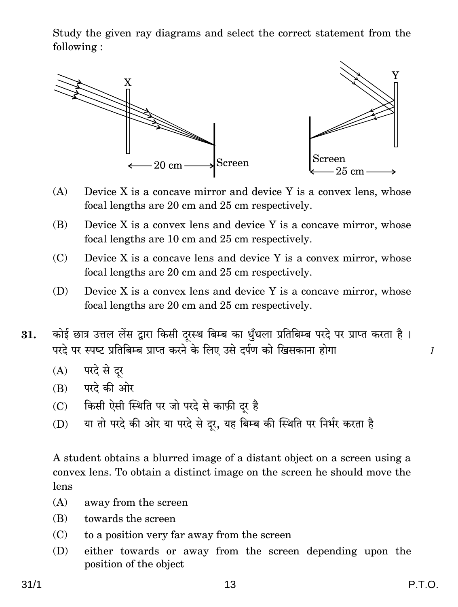Study the given ray diagrams and select the correct statement from the following :



- $(A)$  Device X is a concave mirror and device Y is a convex lens, whose focal lengths are 20 cm and 25 cm respectively.
- $(B)$  Device X is a convex lens and device Y is a concave mirror, whose focal lengths are 10 cm and 25 cm respectively.
- (C) Device X is a concave lens and device Y is a convex mirror, whose focal lengths are 20 cm and 25 cm respectively.
- (D) Device X is a convex lens and device Y is a concave mirror, whose focal lengths are 20 cm and 25 cm respectively.
- $31.$  कोई छात्र उत्तल लेंस द्वारा किसी दुरस्थ बिम्ब का धुँधला प्रतिबिम्ब परदे पर प्राप्त करता है । परदे पर स्पष्ट प्रतिबिम्ब प्राप्त करने के लिए उसे दर्पण को खिसकाना होगा <u>alazo hot and th</u>
	- $(A)$  परदे से दर
	- $(B)$  परदे की ओर
	- (C) किसी ऐसी स्थिति पर जो परदे से काफ़ी दूर है
	- (D) या तो परदे की ओर या परदे से दूर, यह बिम्ब की स्थिति पर निर्भर करता है

A student obtains a blurred image of a distant object on a screen using a convex lens. To obtain a distinct image on the screen he should move the lens

- (A) away from the screen
- (B) towards the screen
- (C) to a position very far away from the screen
- (D) either towards or away from the screen depending upon the position of the object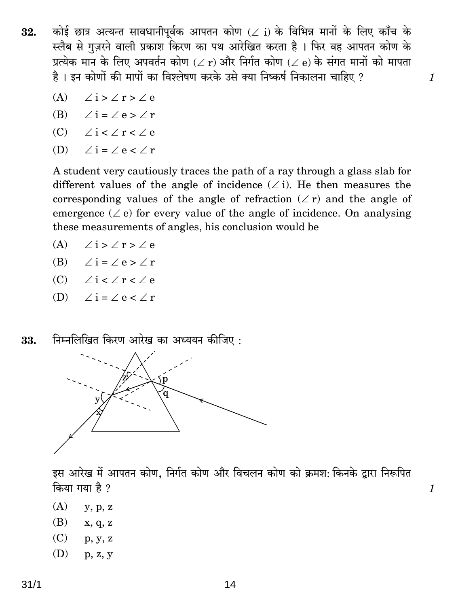कोई छात्र अत्यन्त सावधानीपूर्वक आपतन कोण ( $\angle$  i) के विभिन्न मानों के लिए काँच के 32. स्लैब से गज़रने वाली प्रकाश किरण का पथ आरेखित करता है । फिर वह आपतन कोण के प्रत्येक मान के लिए अपवर्तन कोण ( $\angle$  r) और निर्गत कोण ( $\angle$  e) के संगत मानों को मापता है। इन कोणों की मापों का विश्लेषण करके उसे क्या निष्कर्ष निकालना चाहिए ?

 $\mathcal{I}$ 

 $\mathcal{I}_{\mathcal{L}}$ 

- (A)  $\angle i > \angle r > \angle e$
- (B)  $\angle i = \angle e > \angle r$
- (C)  $\angle i \leq \angle r \leq \angle e$
- $\angle$ i =  $\angle$  e <  $\angle$  r  $(D)$

A student very cautiously traces the path of a ray through a glass slab for different values of the angle of incidence  $(\angle i)$ . He then measures the corresponding values of the angle of refraction  $(\angle r)$  and the angle of emergence ( $\angle$ e) for every value of the angle of incidence. On analysing these measurements of angles, his conclusion would be

- (A)  $\angle$  i >  $\angle$  r >  $\angle$  e
- (B)  $\angle i = \angle e > \angle r$
- (C)  $\angle i \leq \angle r \leq \angle e$
- (D)  $\angle i = \angle e \angle r$
- निम्नलिखित किरण आरेख का अध्ययन कीजिए: 33.



इस आरेख में आपतन कोण, निर्गत कोण और विचलन कोण को क्रमश: किनके द्वारा निरूपित किया गया है ?

- $(A)$  $y, p, z$
- (B)  $x, q, z$
- $(C)$  $p, y, z$
- (D)  $p, z, y$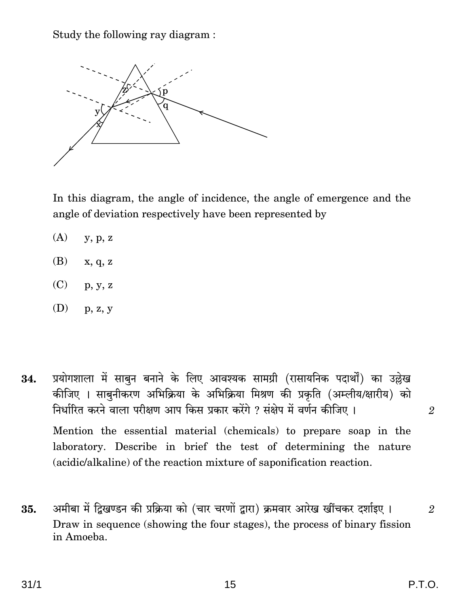Study the following ray diagram:

 $\mathbf{p}$ 

In this diagram, the angle of incidence, the angle of emergence and the angle of deviation respectively have been represented by

- $(A)$  $y, p, z$
- (B)  $x, q, z$
- $(C)$  $p, y, z$
- $(D)$  $p, z, y$

प्रयोगशाला में साबून बनाने के लिए आवश्यक सामग्री (रासायनिक पदार्थों) का उल्लेख 34. कीजिए । साबुनीकरण अभिक्रिया के अभिक्रिया मिश्रण की प्रकृति (अम्लीय/क्षारीय) को निर्धारित करने वाला परीक्षण आप किस प्रकार करेंगे ? संक्षेप में वर्णन कीजिए । Mention the essential material (chemicals) to prepare soap in the laboratory. Describe in brief the test of determining the nature (acidic/alkaline) of the reaction mixture of saponification reaction.

अमीबा में द्विखण्डन की प्रक्रिया को (चार चरणों द्वारा) क्रमवार आरेख खींचकर दर्शाइए । 35. Draw in sequence (showing the four stages), the process of binary fission in Amoeba.

 $\overline{2}$ 

 $\overline{2}$